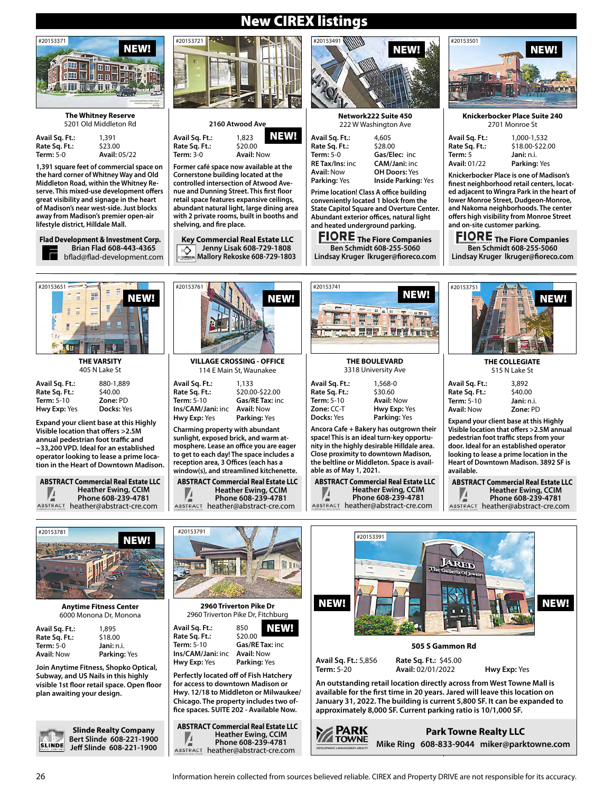

#### **The Whitney Reserve** 5201 Old Middleton Rd

| Avail Sq. Ft.:   | 1,391               |
|------------------|---------------------|
| Rate Sq. Ft.:    | \$23.00             |
| <b>Term: 5-0</b> | <b>Avail: 05/22</b> |

**1,391 square feet of commercial space on the hard corner of Whitney Way and Old Middleton Road, within the Whitney Reserve. This mixed-use development offers great visibility and signage in the heart of Madison's near west-side. Just blocks away from Madison's premier open-air lifestyle district, Hilldale Mall.**

**Flad Development & Investment Corp. Brian Flad 608-443-4365** bflad@flad-development.com



| vail Sq. Ft.:       | ٤ |
|---------------------|---|
| ate Sq. Ft.:        | Ś |
| erm: 5-10           | 2 |
| <b>Iwy Exp:</b> Yes | ſ |

**Expand your client base at this Highly Visible location that offers >2.5M annual pedestrian foot traffic and ~33,200 VPD. Ideal for an established operator looking to lease a prime location in the Heart of Downtown Madison.**

**ABSTRACT Commercial Real Estate LLC Heather Ewing, CCIM** ⊭ **Phone 608-239-4781** ABSTRACT heather@abstract-cre.com



| 2160 Atwood Ave    |                   |      |
|--------------------|-------------------|------|
| 1. Ft.:<br>ı. Ft.: | 1,823<br>\$20.00  | NEW! |
| -0                 | <b>Avail: Now</b> |      |
|                    | . <b>.</b> .      |      |

**Avail S Rate Sc. Term:** 3-0 **Avail:** Now

#20153761

**Former café space now available at the Cornerstone building located at the controlled intersection of Atwood Avenue and Dunning Street. This first floor retail space features expansive ceilings, abundant natural light, large dining area with 2 private rooms, built in booths and shelving, and fire place.**

**Key Commercial Real Estate LLC Jenny Lisak 608-729-1808** ⊵ **Mallory Rekoske 608-729-1803**



**Network222 Suite 450** 222 W Washington Ave

| Avail Sq. Ft.:         | 4,605                |
|------------------------|----------------------|
| Rate Sq. Ft.:          | \$28.00              |
| Term: 5-0              | Gas/Elec: inc        |
| <b>RE Tax/Ins:</b> inc | <b>CAM/Jani: inc</b> |
| <b>Avail:</b> Now      | <b>OH Doors: Yes</b> |
| <b>Parking:</b> Yes    | Inside Parking: Yes  |
|                        |                      |

**Prime location! Class A office building conveniently located 1 block from the State Capitol Square and Overture Center. Abundant exterior offices, natural light and heated underground parking.**

**FIORE** The Fiore Companies **Ben Schmidt 608-255-5060 Lindsay Kruger lkruger@fioreco.com**

#20153741



### **Knickerbocker Place Suite 240** 2701 Monroe St

| Avail Sq. Ft.:      | 1.000-1.532     |
|---------------------|-----------------|
| Rate Sq. Ft.:       | \$18.00-\$22.00 |
| Term: 5             | Jani: n.i.      |
| <b>Avail:</b> 01/22 | Parking: Yes    |
|                     |                 |

**Knickerbocker Place is one of Madison's finest neighborhood retail centers, located adjacent to Wingra Park in the heart of lower Monroe Street, Dudgeon-Monroe, and Nakoma neighborhoods. The center offers high visibility from Monroe Street and on-site customer parking.** 

**FIORE** The Fiore Companies **Ben Schmidt 608-255-5060 Lindsay Kruger lkruger@fioreco.com**

#20153751